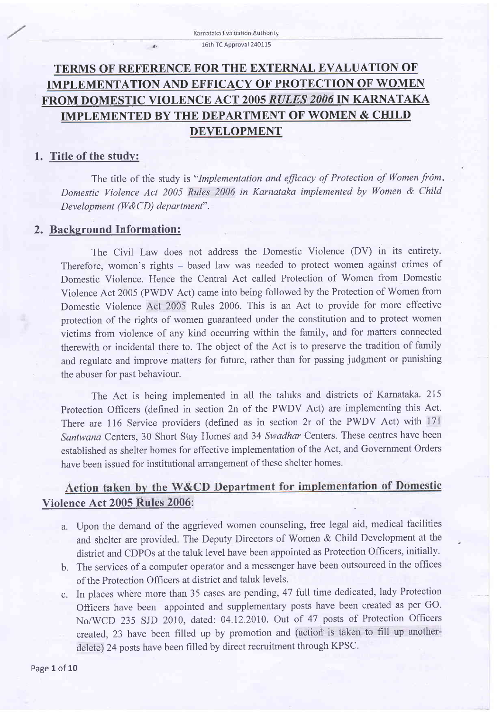# TERMS OF REFERENCE FOR THE EXTERNAL EVALUATION OF IMPLEMENTATION AND EFFICACY OF PROTECTION OF WOMEN FROM DOMESTIC VIOLENCE ACT 2005 RULES 2006 IN KARNATAKA IMPLEMENTED BY THE DEPARTMENT OF WOMEN & CHILD DEVELOPMENT

### 1. Title of the study:

The title of the study is "Implementation and efficacy of Protection of Women from. Domestic Violence Act 2005 Rules 2006 in Karnataka implemented by Women & Child Development (W&CD) department".

#### 2. Background Information:

The Civil Law does not address the Domestic Violence (DV) in its entirety. Therefore, women's rights - based law was needed to protect women against crimes of Domestic Violence. Hence the Central Act called Protection of Women from Domestic Violence Act 2005 (PWDV Act) came into being followed by the Protection of Women from Domestic Violence Aet 2005 Rules 2006. This is an Act to provide for more effective protection of the rights of women guaranteed under the constitution and to protect women victims from violence of any kind occurring within the family, and for matters connected therewith or incidental there to. The object of the Act is to preserve the tradition of family and regulate and improve matters for future, rather than for passing judgment or punishing the abuser for past behaviour.

The Act is being implemented in all the taluks and districts of Karnataka. 2I5 Protection Officers (defined in section 2n of the PWDV Act) are implementing this Act. There are 116 Service providers (defined as in section 2r of the PWDV Act) with <sup>171</sup> Santwana Centers, 30 Short Stay Homes and 34 Swadhar Centers. These centres have been established as shelter homes for effective implementation of the Act, and Government Orders have been issued for institutional arrangement of these shelter homes.

## Action taken by the W&CD Department for implementation of Domestic Violence Act 2005 Rules 2006:

- a. Upon the demand of the aggrieved women counseling, free legal aid, medical facilities and shelter are provided. The Deputy Directors of Women & Child Development at the district and CDPOs at the taluk level have been appointed as Protection Officers, initially.
- b. The services of a computer operator and a messenger have been outsourced in the offices of the Protection Officers at district and taluk levels.
- c. In places where more than 35 cases are pending,4T full time dedicated, lady Protection Officers have been appointed and supplementary posts have been created as per GO. No/WCD 235 SJD 2010, dated: 04.12.2010. Out of 47 posts of Protection Officers created, 23 have been filled up by promotion and (action is taken to fill up anotherdelete) 24 posts have been frlled by direct recruitment through KPSC.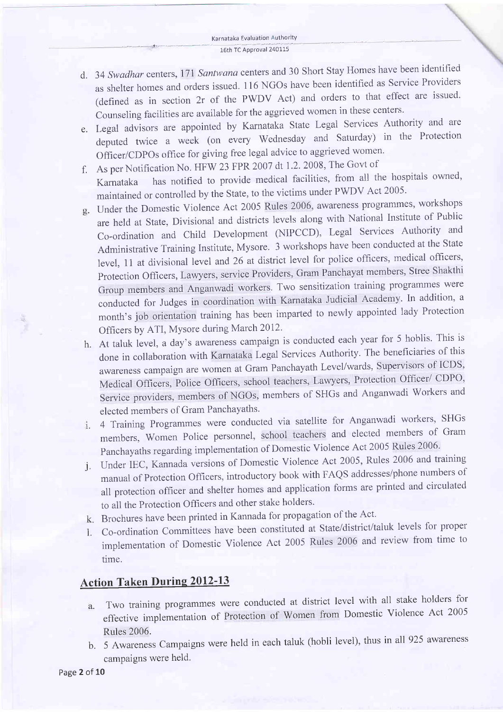- d. 34 Swadhar centers, 171 Santwana centers and 30 Short Stay Homes have been identified as shelter homes and orders issued. 116 NGOs have been identihed as Service Providers (defined as in section 2r of the PWDV Act) and orders to that effect are issued. Counseling facilities are available for the aggrieved women in these centers.
- Legal advisors are appointed by Karnataka State Legal Services Authority and are deputed twice a week (on every Wednesday and Saturday) in the Protection Officer/CDPOs office for giving free legal advice to aggrieved women.
- As per Notification No. HFW 23 FPR 2007 dt 1.2.2008, The Govt of f.
- Karnataka has notified to provide medical facilities, from all the hospitals owned' maintained or controlled by the State, to the victims under PWDV Act 2005.
- Under the Domestic violence Act 2005 Rules 2006, awareness programmes, workshops are held at State, Divisional and districts levels along with National Institute of Public Co-ordination and Child Development G{IPCCD), Legal Services Authority and Administrative Training Institute, Mysore. 3 workshops have been conducted at the State level, 11 at divisional level and 26 at district level for police officers, medical officers, Protection Officers, Lawyers, service Providers, Gram Panchayat members, Stree Shakthi Group members and Anganwadi workers. Two sensitization training programmes were conducted for Judges in coordination with Karnataka Judicial Academy. In addition, a month's job orientation training has been imparted to newly appointed lady Protection Officers by ATI, Mysore during March 2012.
- h. At taluk level, a day's awareness campaign is conducted each year for 5 hoblis. This is done in collaboration with Karnataka Legal services Authority. The beneficiaries of this awareness campaign are women at Gram Panchayath Level/wards, Supervisors of ICDS' Medical Officers, Police Officers, school teachers, Lawyers, Protection Officer/ CDPO, Service providers, members of NGOs, members of SHGs and Anganwadi workers and elected members of Gram Panchayaths.
- 4 Training Programmes were conducted via satellite for Anganwadi workers, SHGs  $\mathbf{i}$ . members, Women Police personnel, school teachers and elected members of Gram Panchayaths regarding implementation of Domestic Violence Act 2005 Rules 2006.
- Under IEC, Kannada versions of Domestic violence Act 2005, Rules 2006 and training J manual of protection Officers, introductory book with FAQS addresses/phone numbers of all protection officer and shelter homes and application forms are printed and circulated to all the Protection Officers and other stake holders.
- k. Brochures have been printed in Kannada for propagation of the Act.
- Co-ordination Committees have been constituted at State/district/taluk levels for proper l. implementation of Domestic violence Act 2005 Rules 2006 and review from time to time.

# **Action Taken During 2012-13**

- Two training programmes were conducted at district level with all stake holders for a. effective implementation of Protection of women from Domestic violence Act <sup>2005</sup> Ruies 2006.
- b. 5 Awareness Campaigns were held in each taluk (hobli level), thus in all 925 awareness campaigns were held.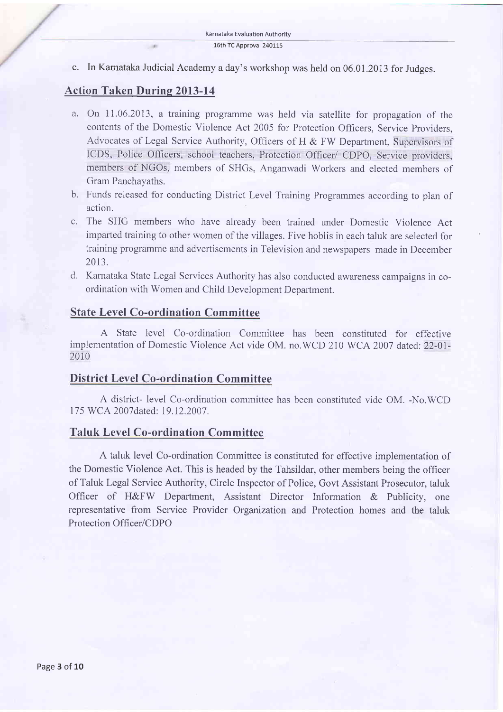c. In Karnataka Judicial Academy a day's workshop was held on 06.01 .2073 for Judges.

### Action Taken Durine 2013-14

**COMP** 

- a. On 11.06.2073, a training programme was held via satellite for propagation of the coutents of the Domestic Violence Act 2005 for Protection Officers, Service Providers, Advocates of Legal Service Authority, Officers of H & FW Department, Supervisors of ICDS, Police Officers, school teachers, Protection Officer/ CDPO, Service providers, members of NGOs, members of SHGs, Anganwadi Workers and elected members of Gram Panchayaths.
- b. Funds released for conducting District Level Training Programmes according to plan of action.
- c. The SHG members who have already been trained under Domestic Violence Act imparted training to other women of the villages. Five hoblis in each taluk are selected for training programme and advertisements in Television and newspapers made in December 20t3.
- d. Karnataka State Legal Services Authority has also conducted awareness campaigns in coordination with Women and Child Development Department.

### State Level Co-ordination Committee

A State level Co-ordination Committee has been constituted for effective implementation of Domestic Violence Act vide OM, no.WCD 210 WCA 2007 dated: 22-01- 2010

#### District Level Co-ordination Committee

A district- level Co-ordination committee has been constituted vide OM. -No.WCD 175 WCA 2007dated: 19.12.2007.

#### Taluk Level Co-ordination Committee

A taluk level Co-ordination Committee is constituted for effective implementation of the Domestic Violence Act. This is headed by the Tahsildar, other members being the officer of Taluk Legal Service Authority, Circle Inspector of Police, Govt Assistant Prosecutor, taluk Officer of H&FW Department, Assistant Director Information & Publicity, one representative from Service Provider Organization and Protection homes and the taluk Protection Officer/CDPO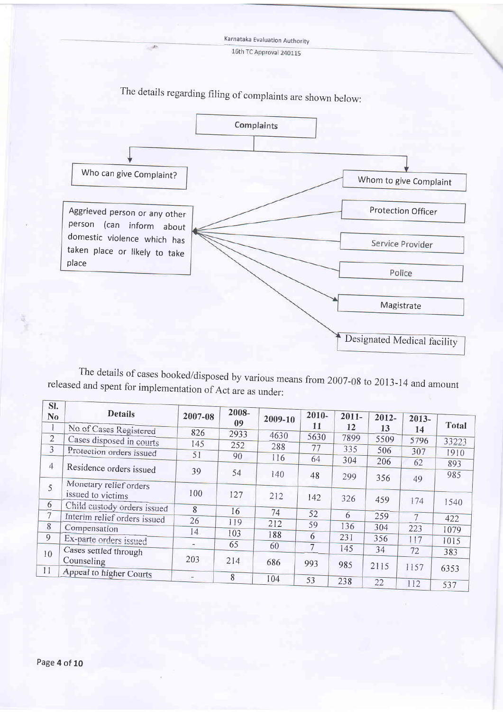Karnataka Evaluation Authority 16th TC Approval 240115



- de

The details of cases booked/disposed by various means from 2007-08 to 2013-14 and amount released and spent for implementation of Act are as under:

| ы.<br>N <sub>o</sub> | <b>Details</b>                              | 2007-08                  | 2008-<br>09 | 2009-10 | $2010 -$<br>11 | $2011 -$ | $2012 -$   | $2013-$        | <b>Total</b> |
|----------------------|---------------------------------------------|--------------------------|-------------|---------|----------------|----------|------------|----------------|--------------|
| $\mathbf{1}$         | No of Cases Registered                      | 826                      | 2933        | 4630    |                | 12       | 13         | 14             |              |
| $\overline{2}$       | Cases disposed in courts                    | 145                      | 252         |         | 5630           | 7899     | 5509       | 5796           | 33223        |
| 3                    | Protection orders issued                    | 51                       |             | 288     | 77             | 335      | 506        | 307            | 1910         |
|                      |                                             |                          | 90          | 116     | 64             | 304      | 206        | 62             | 893          |
| $\overline{4}$       | Residence orders issued                     | 39                       | 54          | 140     | 48             | 299      | 356        | 49             | 985          |
| 5                    | Monetary relief orders<br>issued to victims | 100                      | 127         | 212     | 142            | 326      | 459        |                |              |
| 6                    | Child custody orders issued                 | 8                        |             |         |                |          |            | 174            | 1540         |
| $7\overline{ }$      | Interim relief orders issued                |                          | 16          | 74      | 52             | 6        | 259        | $\overline{7}$ | 422          |
| 8                    | Compensation                                | 26                       | 119         | 212     | 59             | 136      | 304        | 223            | 1079         |
| 9                    | Ex-parte orders issued                      | 14                       | 103         | 188     | 6              | 231      | 356        | 117            |              |
|                      |                                             | ۰                        | 65          | 60      |                | 145      |            |                | 1015         |
| 10                   | Cases settled through<br>Counseling         | 203                      | 214         | 686     | 993            | 985      | 34<br>2115 | 72             | 383          |
| 11                   | Appeal to higher Courts                     | $\overline{\phantom{a}}$ | 8           |         |                |          |            | 1157           | 6353         |
|                      |                                             |                          |             | 104     | 53             | 238      | 22         | 112            | 537          |

 $\sqrt{2}$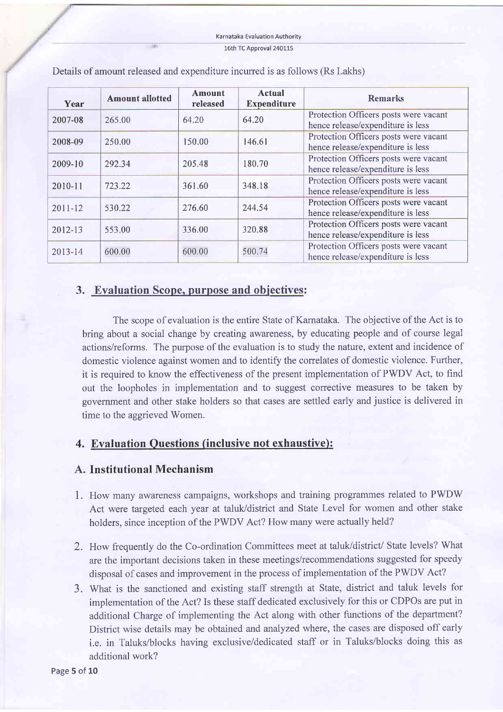#### 16th TC Approval 240115

| Year        | <b>Amount allotted</b> | <b>Amount</b><br>released | Actual<br><b>Expenditure</b> | <b>Remarks</b>                                                             |
|-------------|------------------------|---------------------------|------------------------------|----------------------------------------------------------------------------|
| 2007-08     | 265.00                 | 64.20                     | 64.20                        | Protection Officers posts were vacant<br>hence release/expenditure is less |
| 2008-09     | 250.00                 | 150.00                    | 146.61                       | Protection Officers posts were vacant<br>hence release/expenditure is less |
| 2009-10     | 292.34                 | 205.48                    | 180.70                       | Protection Officers posts were vacant<br>hence release/expenditure is less |
| 2010-11     | 723.22                 | 361.60                    | 348.18                       | Protection Officers posts were vacant<br>hence release/expenditure is less |
| $2011 - 12$ | 530.22                 | 276.60                    | 244.54                       | Protection Officers posts were vacant<br>hence release/expenditure is less |
| 2012-13     | 553.00                 | 336.00                    | 320.88                       | Protection Officers posts were vacant<br>hence release/expenditure is less |
| 2013-14     | 600.00                 | 600.00                    | 500.74                       | Protection Officers posts were vacant<br>hence release/expenditure is less |

Details of amount released and expenditure incurred is as follows (Rs Lakhs)

## 3. Evaluation Scope. purpose and obiectives:

The scope of evaluation is the entire State of Karnataka. The objective of the Act is to bring about a social change by creating awareness, by educating people and of course legal actions/reforms. The purpose of the evaluation is to study the nature, extent and incidence of domestic violence against women and to identify the correlates of domestic violence. Further, it is required to know the effectiveness of the present implementation of PWDV Act, to find out the loopholes in implementation and to suggest corrective measures to be taken by government and other stake holders so that cases are settled early and justice is delivered in time to the aggrieved Women.

## 4. Evaluation Questions (inclusive not exhaustive):

### A. Institutional Mechanism

- 1. How many awareness campaigns, workshops and training programmes related to PWDW Act were targeted each year at taluk/district and State Level for women and other stake holders, since inception of the PWDV Act? How many were actually held?
- 2. How frequently do the Co-ordination Committees meet at taluk/district/ State levels? What are the important decisions taken in these meetings/recommendations suggested for speedy disposal of cases and improvement in the process of implementation of the PWDV Act?
- 3. What is the sanctioned and existing staff strength at State, district and taluk levels for implementation of the Act? Is these staff dedicated exclusively for this or CDPOs are put in additional Charge of implementing the Act along with other functions of the department? District wise details may be obtained and analyzed where, the cases are disposed off early i.e. in Taluks/blocks having exclusive/dedicated staff or in Taluks/blocks doing this as additional work?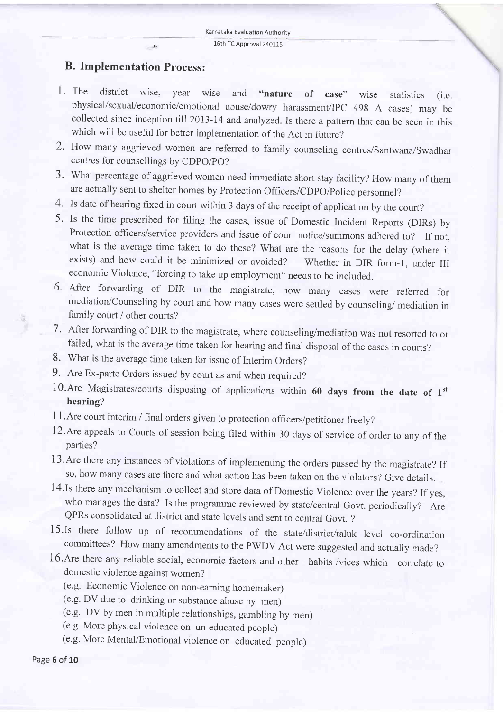$\overline{\phantom{a}}$ 

### B. Implementation Process:

..

- 1. The district wise, year wise and "nature of case" wise statistics (i.e. physical/sexual/economic/emotional abuse/dowry harassment/IPC 498 A cases) may be collected since inception till 2013-14 and analyzed. Is there a pattern that can be seen in this which will be useful for better implementation of the Act in future?
- 2. How many aggrieved women are referred to family counseling centres/Santwana/Swadhar centres for counsellings by CDpO/pO?
- 3. What percentage of aggrieved women need immediate short stay facility? How many of them are actually sent to shelter homes by Protection Officers/CDPO/Police personnel?
- 4. Is date of hearing fixed in court within 3 days of the receipt of application by the court?
- 5. Is the time prescribed for filing the cases, issue of Domestic Incident Reports (DIRs) by Protection officers/service providers and issue of court notice/summons adhered to? If not, what is the average time taken to do these? What are the reasons for the delay (where it exists) and how could it be minimized or avoided? Whether in DIR form-l, under III economic Violence, "forcing to take up employment" needs to be included.
- 6' After forwarding of DIR to the magistrate, how many cases were referred for mediation/Counseling by court and how many cases were settled by counseling/ mediation in family court / other courts?
- 7. After forwarding of DIR to the magistrate, where counseling/mediation was not resorted to or failed, what is the average time taken for hearing and final disposal of the cases in courts?
- 8. what is the average time taken for issue of Interim orders?
- 9. Are Ex-parte Orders issued by court as and when required?
- 10.Are Magistrates/courts disposing of applications within 60 days from the date of  $1<sup>st</sup>$ hearing?
- 11. Are court interim / final orders given to protection officers/petitioner freely?
- 12.Are appeals to Courts of session being filed within 30 days of service of order to any of the parties?
- 13.Are there any instances of violations of implementing the orders passed by the magistrate? If so, how many cases are there and what action has been taken on the violators? Give details.
- 14.Is there any mechanism to collect and store data of Domestic Violence over the years? If yes, who manages the data? Is the programme reviewed by state/central Govt. periodically? Are QPRs consolidated at district and state levels and sent to central Govt. ?
- 15'Is there follow up of recommendations of the state/district/taluk level co-ordination committees? How many amendments to the PWDV Act were suggested and actually made?
- 16.Are there any reliable social, economic factors and other habits /vices which correlate to domestic violence against women?
	- (e.g. Economic Violence on non-earning homemaker)
	- (e.g. DV due to drinking or substance abuse by men)
	- (e.g. DV by men in multiple relationships, gambling by men)
	- (e.g. More physical violence on un-educated people)
	- (e.g. More Mental/Emotional violence on educated people)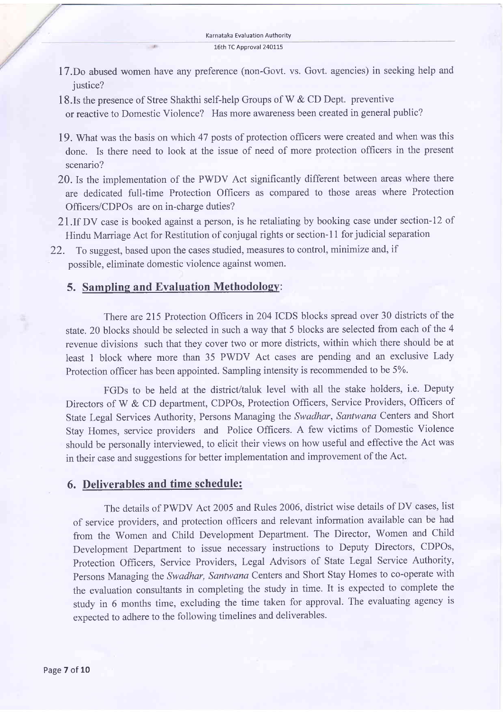- 17.Do abused women have any preference (non-Govt. vs. Govt. agencies) in seeking help and justice?
- 18.Is the presence of Stree Shakthi self-help Groups of W & CD Dept. preventive or reactive to Domestic Violence? Has more awareness been created in general public?
- 19. What was the basis on which 47 posts of protection officers wete created and when was this done. Is there need to look at the issue of need of more protection officers in the present scenario?
- 20. Is the implementation of the PWDV Act significantly different between areas where there are dedicated full-time Protection Officers as compared to those areas where Protection Officers/CDPOs are on in-charge duties?
- 21. If DV case is booked against a person, is he retaliating by booking case under section-12 of Hindu Marriage Act for Restitution of conjugal rights or section-11 for judicial separation
- 22. To suggest, based upon the cases studied, measutes to control, minimize and, if possible, eliminate domestic violence against women.

#### 5. Sampling and Evaluation Methodology:

 $-164$ 

There are 215 Protection Officers in 204 ICDS blocks spread over 30 districts of the state. 20 blocks should be selected in such a way that 5 blocks are selected from each of the 4 revenue divisions such that they cover two or more districts, within which there should be at least 1 block where more than 35 PWDV Act cases are pending and an exclusive Lady Protection officer has been appointed. Sampling intensity is recommended to be 5%.

FGDs to be held at the district/taluk level with all the stake holders, i.e. Deputy Directors of W & CD department, CDPOs, Protection Officers, Service Providers, Officers of State Legal Services Authority, Persons Managing the Swadhar, Santwana Centers and Short Stay Homes, service providers and Police Offrcers. A few victims of Domestic Violence should be personally interviewed, to elicit their views on how useful and effective the Act was in their case and suggestions for better implementation and improvement of the Act.

#### 6. Deliverables and time schedule:

The details of PWDV Act 2005 and Rules 2006, district wise details of DV cases, list of seruice providers, and protection officers and relevant information available can be had from the Women and Child Development Department. The Director, Women and Child Development Department to issue necessary instructions to Deputy Directors, CDPOs, Protection Officers, Service Providers, Legal Advisors of State Legal Service Authority, Persons Managing the Swadhar, Santwana Centers and Short Stay Homes to co-operate with the evaluation consultants in completing the study in time. It is expected to complete the study in 6 months time, excluding the time taken for approval. The evaluating agency is expected to adhere to the following timelines and deliverables.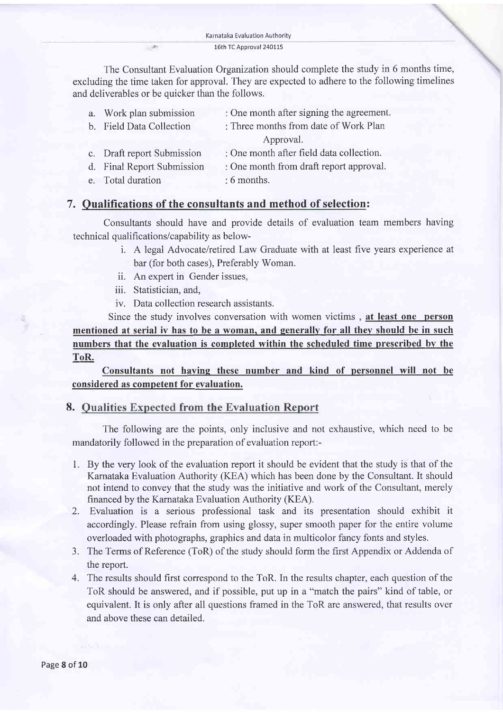The Consultant Evaluation Organization should complete the study in 6 months time, excluding the time taken for approval. They are expected to adhere to the following timelines and deliverables or be quicker than the follows.

| a. Work plan submission    | : One month after signing the agreement. |
|----------------------------|------------------------------------------|
| b. Field Data Collection   | : Three months from date of Work Plan    |
|                            | Approval.                                |
| c. Draft report Submission | : One month after field data collection. |
| d. Final Report Submission | : One month from draft report approval.  |
| e. Total duration          | $: 6$ months.                            |

### 7. Oualifications of the consultants and method of selection:

Consultants should have and provide details of evaluation team members having technical qualifications/capability as below-

- i. A legal Advocate/retired Law Graduate with at least five years experience at bar (for both cases), Preferably Woman.
- ii. An expert in Gender issues,
- iii. Statistician, and,

 $\sim$   $A\cdot$ 

iv. Data collection research assistants.

Since the study involves conversation with women victims , at least one person mentioned at serial iv has to be a woman, and generally for all they should be in such numbers that the evaluation is completed within the scheduled time prescribed by the ToR.

Consultants not having these number and kind of personnel will not be considered as competent for evaluation.

### 8. Qualities Expected from the Evaluation Report

The following are the points, only inclusive and not exhaustive, which need to be mandatorily followed in the preparation of evaluation report:-

- 1. By the very look of the evaluation report it should be evident that the study is that of the Karnataka Evaluation Authority (KEA) which has been done by the Consultant. It should not intend to convey that the study was the initiative and work of the Consultant, merely financed by the Karnataka Evaluation Authority (KEA).
- 2. Evaluation is a serious professional task and its presentation should exhibit it accordingly. Please refrain from using glossy, super smooth paper for the entire volume overloaded with photographs, graphics and data in multicolor fancy fonts and styles.
- 3. The Terms of Reference (ToR) of the study should form the first Appendix or Addenda of the report.
- 4. The results should first correspond to the ToR. In the results chapter, each question of the ToR should be answered, and if possible, put up in a "match the pairs" kind of table, or equivalent. It is only after all questions framed in the ToR are answered, that results over and above these can detailed.